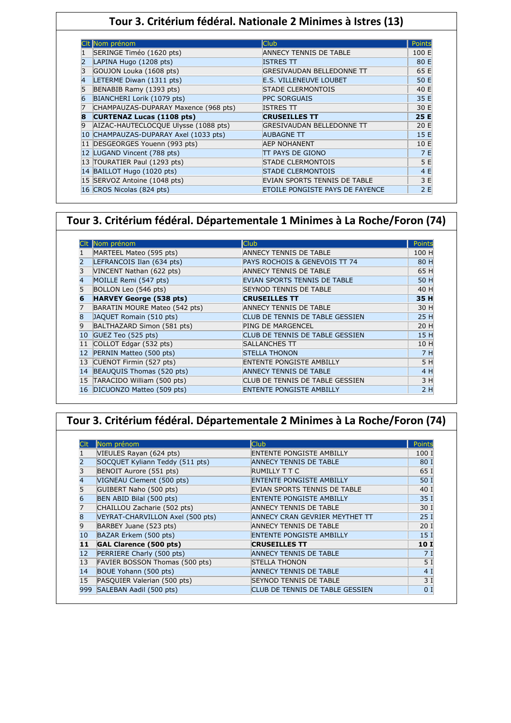#### **Tour 3. Critérium fédéral. Nationale 2 Minimes à Istres (13)**

|   | CIt Nom prénom                        | <b>Club</b>                            | Points |
|---|---------------------------------------|----------------------------------------|--------|
|   | SERINGE Timéo (1620 pts)              | ANNECY TENNIS DE TABLE                 | 100 E  |
|   | LAPINA Hugo (1208 pts)                | <b>ISTRES TT</b>                       | 80 E   |
|   | GOUJON Louka (1608 pts)               | GRESIVAUDAN BELLEDONNE TT              | 65 E   |
|   | LETERME Diwan (1311 pts)              | <b>E.S. VILLENEUVE LOUBET</b>          | 50 E   |
|   | BENABIB Ramy (1393 pts)               | <b>STADE CLERMONTOIS</b>               | 40 E   |
|   | BIANCHERI Lorik (1079 pts)            | <b>PPC SORGUAIS</b>                    | 35 E   |
|   | CHAMPAUZAS-DUPARAY Maxence (968 pts)  | <b>ISTRES TT</b>                       | 30 E   |
| 8 | <b>CURTENAZ Lucas (1108 pts)</b>      | <b>CRUSEILLES TT</b>                   | 25 E   |
| 9 | AIZAC-HAUTECLOCQUE Ulysse (1088 pts)  | GRESIVAUDAN BELLEDONNE TT              | 20 E   |
|   | 10 CHAMPAUZAS-DUPARAY Axel (1033 pts) | <b>AUBAGNE TT</b>                      | 15 E   |
|   | 11 DESGEORGES Youenn (993 pts)        | <b>AEP NOHANENT</b>                    | 10 E   |
|   | 12 LUGAND Vincent (788 pts)           | TT PAYS DE GIONO                       | 7 E    |
|   | 13 TOURATIER Paul (1293 pts)          | <b>STADE CLERMONTOIS</b>               | 5 E    |
|   | 14 BAILLOT Hugo (1020 pts)            | <b>STADE CLERMONTOIS</b>               | 4 E    |
|   | 15 SERVOZ Antoine (1048 pts)          | EVIAN SPORTS TENNIS DE TABLE           | 3 E    |
|   | 16 CROS Nicolas (824 pts)             | <b>ETOILE PONGISTE PAYS DE FAYENCE</b> | 2E     |

#### **Tour 3. Critérium fédéral. Départementale 1 Minimes à La Roche/Foron (74)**

|                | Nom prénom                     | <b>Club</b>                     | Points |
|----------------|--------------------------------|---------------------------------|--------|
|                | MARTEEL Mateo (595 pts)        | ANNECY TENNIS DE TABLE          | 100 H  |
|                | LEFRANCOIS Ilan (634 pts)      | PAYS ROCHOIS & GENEVOIS TT 74   | 80 H   |
| 3              | VINCENT Nathan (622 pts)       | ANNECY TENNIS DE TABLE          | 65 H   |
| 4              | MOILLE Remi (547 pts)          | EVIAN SPORTS TENNIS DE TABLE    | 50 H   |
| 5              | BOLLON Leo (546 pts)           | <b>SEYNOD TENNIS DE TABLE</b>   | 40 H   |
| 6              | <b>HARVEY George (538 pts)</b> | <b>CRUSEILLES TT</b>            | 35 H   |
|                | BARATIN MOURE Mateo (542 pts)  | ANNECY TENNIS DE TABLE          | 30 H   |
| 8              | JAQUET Romain (510 pts)        | CLUB DE TENNIS DE TABLE GESSIEN | 25 H   |
| $\overline{9}$ | BALTHAZARD Simon (581 pts)     | <b>PING DE MARGENCEL</b>        | 20 H   |
| 10             | GUEZ Teo (525 pts)             | CLUB DE TENNIS DE TABLE GESSIEN | 15 H   |
| 11             | COLLOT Edgar (532 pts)         | <b>SALLANCHES TT</b>            | 10 H   |
| 12             | PERNIN Matteo (500 pts)        | <b>STELLA THONON</b>            | 7H     |
| 13             | CUENOT Firmin (527 pts)        | ENTENTE PONGISTE AMBILLY        | 5 H    |
| 14             | BEAUQUIS Thomas (520 pts)      | <b>ANNECY TENNIS DE TABLE</b>   | 4 H    |
| 15             | TARACIDO William (500 pts)     | CLUB DE TENNIS DE TABLE GESSIEN | 3 H    |
| 16             | DICUONZO Matteo (509 pts)      | <b>ENTENTE PONGISTE AMBILLY</b> | 2 H    |

# **Tour 3. Critérium fédéral. Départementale 2 Minimes à La Roche/Foron (74)**

|     | Nom prénom                       | <b>Club</b>                     | Points          |
|-----|----------------------------------|---------------------------------|-----------------|
|     | VIEULES Rayan (624 pts)          | <b>ENTENTE PONGISTE AMBILLY</b> | 100 I           |
|     | SOCQUET Kyliann Teddy (511 pts)  | <b>ANNECY TENNIS DE TABLE</b>   | 80 I            |
| 3   | BENOIT Aurore (551 pts)          | RUMILLY T T C                   | 65 I            |
| 4   | VIGNEAU Clement (500 pts)        | <b>ENTENTE PONGISTE AMBILLY</b> | 50 I            |
|     | GUIBERT Naho (500 pts)           | EVIAN SPORTS TENNIS DE TABLE    | 40 I            |
| 6   | BEN ABID Bilal (500 pts)         | <b>ENTENTE PONGISTE AMBILLY</b> | 35I             |
|     | CHAILLOU Zacharie (502 pts)      | ANNECY TENNIS DE TABLE          | 30 I            |
|     | VEYRAT-CHARVILLON Axel (500 pts) | ANNECY CRAN GEVRIER MEYTHET TT  | 25I             |
| 9   | BARBEY Juane (523 pts)           | <b>ANNECY TENNIS DE TABLE</b>   | 20I             |
| 10  | BAZAR Erkem (500 pts)            | <b>ENTENTE PONGISTE AMBILLY</b> | 15 <sub>1</sub> |
| 11  | <b>GAL Clarence (500 pts)</b>    | <b>CRUSEILLES TT</b>            | 10 I            |
| 12  | PERRIERE Charly (500 pts)        | <b>ANNECY TENNIS DE TABLE</b>   | 7 I             |
| 13  | FAVIER BOSSON Thomas (500 pts)   | <b>STELLA THONON</b>            | 5 I             |
| 14  | BOUE Yohann (500 pts)            | <b>ANNECY TENNIS DE TABLE</b>   | 4 I             |
| 15  | PASQUIER Valerian (500 pts)      | <b>SEYNOD TENNIS DE TABLE</b>   | 3I              |
| 999 | SALEBAN Aadil (500 pts)          | CLUB DE TENNIS DE TABLE GESSIEN | 0 <sub>1</sub>  |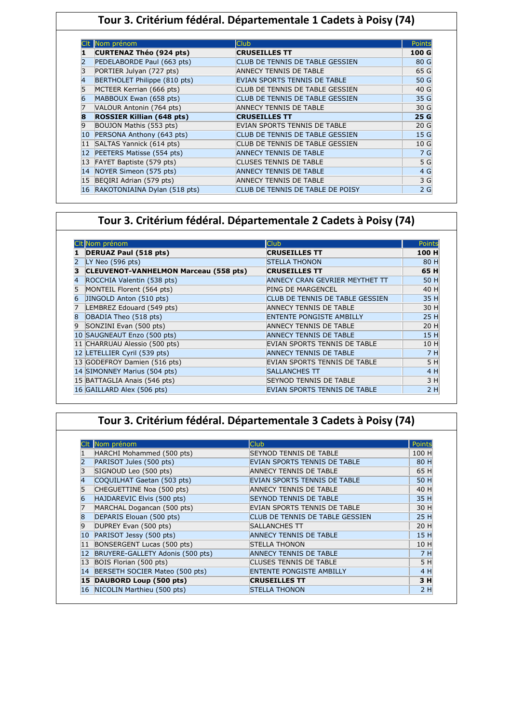|    | Nom prénom                       | <b>Club</b>                      | Points          |
|----|----------------------------------|----------------------------------|-----------------|
|    | <b>CURTENAZ Théo (924 pts)</b>   | <b>CRUSEILLES TT</b>             | 100 G           |
|    | PEDELABORDE Paul (663 pts)       | CLUB DE TENNIS DE TABLE GESSIEN  | 80 G            |
|    | PORTIER Julyan (727 pts)         | ANNECY TENNIS DE TABLE           | 65 G            |
|    | BERTHOLET Philippe (810 pts)     | EVIAN SPORTS TENNIS DE TABLE     | 50 G            |
|    | MCTEER Kerrian (666 pts)         | CLUB DE TENNIS DE TABLE GESSIEN  | 40 G            |
|    | MABBOUX Ewan (658 pts)           | CLUB DE TENNIS DE TABLE GESSIEN  | 35 G            |
|    | VALOUR Antonin (764 pts)         | ANNECY TENNIS DE TABLE           | 30 G            |
|    | <b>ROSSIER Killian (648 pts)</b> | <b>CRUSEILLES TT</b>             | 25 G            |
|    | BOUJON Mathis (553 pts)          | EVIAN SPORTS TENNIS DE TABLE     | 20 <sub>G</sub> |
| 10 | PERSONA Anthony (643 pts)        | CLUB DE TENNIS DE TABLE GESSIEN  | 15 G            |
| 11 | SALTAS Yannick (614 pts)         | CLUB DE TENNIS DE TABLE GESSIEN  | 10G             |
| 12 | PEETERS Matisse (554 pts)        | <b>ANNECY TENNIS DE TABLE</b>    | 7 G             |
| 13 | FAYET Baptiste (579 pts)         | <b>CLUSES TENNIS DE TABLE</b>    | 5 G             |
| 14 | NOYER Simeon (575 pts)           | <b>ANNECY TENNIS DE TABLE</b>    | 4 G             |
| 15 | BEQIRI Adrian (579 pts)          | ANNECY TENNIS DE TABLE           | 3 G             |
| 16 | RAKOTONIAINA Dylan (518 pts)     | CLUB DE TENNIS DE TABLE DE POISY | 2G              |

# **Tour 3. Critérium fédéral. Départementale 2 Cadets à Poisy (74)**

|   | CIt Nom prénom                               | <b>Club</b>                     | Points |
|---|----------------------------------------------|---------------------------------|--------|
|   | <b>DERUAZ Paul (518 pts)</b>                 | <b>CRUSEILLES TT</b>            | 100 H  |
|   | LY Neo $(596$ pts)                           | <b>STELLA THONON</b>            | 80 H   |
|   | <b>CLEUVENOT-VANHELMON Marceau (558 pts)</b> | <b>CRUSEILLES TT</b>            | 65 H   |
|   | ROCCHIA Valentin (538 pts)                   | ANNECY CRAN GEVRIER MEYTHET TT  | 50 H   |
|   | MONTEIL Florent (564 pts)                    | <b>PING DE MARGENCEL</b>        | 40 H   |
| 6 | JINGOLD Anton (510 pts)                      | CLUB DE TENNIS DE TABLE GESSIEN | 35 H   |
|   | LEMBREZ Edouard (549 pts)                    | <b>ANNECY TENNIS DE TABLE</b>   | 30 H   |
| 8 | OBADIA Theo (518 pts)                        | <b>ENTENTE PONGISTE AMBILLY</b> | 25 H   |
| 9 | SONZINI Evan (500 pts)                       | <b>ANNECY TENNIS DE TABLE</b>   | 20 H   |
|   | 10 SAUGNEAUT Enzo (500 pts)                  | <b>ANNECY TENNIS DE TABLE</b>   | 15 H   |
|   | 11 CHARRUAU Alessio (500 pts)                | EVIAN SPORTS TENNIS DE TABLE    | 10 H   |
|   | 12 LETELLIER Cyril (539 pts)                 | <b>ANNECY TENNIS DE TABLE</b>   | 7 H    |
|   | 13 GODEFROY Damien (516 pts)                 | EVIAN SPORTS TENNIS DE TABLE    | 5 H    |
|   | 14 SIMONNEY Marius (504 pts)                 | <b>SALLANCHES TT</b>            | 4 H    |
|   | 15 BATTAGLIA Anais (546 pts)                 | <b>SEYNOD TENNIS DE TABLE</b>   | 3H     |
|   | 16 GAILLARD Alex (506 pts)                   | EVIAN SPORTS TENNIS DE TABLE    | 2H     |

# **Tour 3. Critérium fédéral. Départementale 3 Cadets à Poisy (74)**

|    | Nom prénom                       | <b>Club</b>                     | <b>Points</b> |
|----|----------------------------------|---------------------------------|---------------|
|    | HARCHI Mohammed (500 pts)        | <b>SEYNOD TENNIS DE TABLE</b>   | 100 H         |
|    | PARISOT Jules (500 pts)          | EVIAN SPORTS TENNIS DE TABLE    | 80 H          |
|    | SIGNOUD Leo (500 pts)            | ANNECY TENNIS DE TABLE          | 65 H          |
|    | COQUILHAT Gaetan (503 pts)       | EVIAN SPORTS TENNIS DE TABLE    | 50 H          |
|    | CHEGUETTINE Noa (500 pts)        | ANNECY TENNIS DE TABLE          | 40 H          |
|    | HAJDAREVIC Elvis (500 pts)       | <b>SEYNOD TENNIS DE TABLE</b>   | 35 H          |
|    | MARCHAL Dogancan (500 pts)       | EVIAN SPORTS TENNIS DE TABLE    | 30 H          |
|    | DEPARIS Elouan (500 pts)         | CLUB DE TENNIS DE TABLE GESSIEN | 25 H          |
| 9  | DUPREY Evan (500 pts)            | <b>SALLANCHES TT</b>            | 20 H          |
| 10 | PARISOT Jessy (500 pts)          | <b>ANNECY TENNIS DE TABLE</b>   | 15 H          |
| 11 | BONSERGENT Lucas (500 pts)       | STELLA THONON                   | 10 H          |
| 12 | BRUYERE-GALLETY Adonis (500 pts) | <b>ANNECY TENNIS DE TABLE</b>   | 7 H           |
| 13 | BOIS Florian (500 pts)           | <b>CLUSES TENNIS DE TABLE</b>   | 5 H           |
| 14 | BERSETH SOCIER Mateo (500 pts)   | <b>ENTENTE PONGISTE AMBILLY</b> | 4 H           |
| 15 | DAUBORD Loup (500 pts)           | <b>CRUSEILLES TT</b>            | 3 H           |
|    | 16 NICOLIN Marthieu (500 pts)    | <b>STELLA THONON</b>            | 2H            |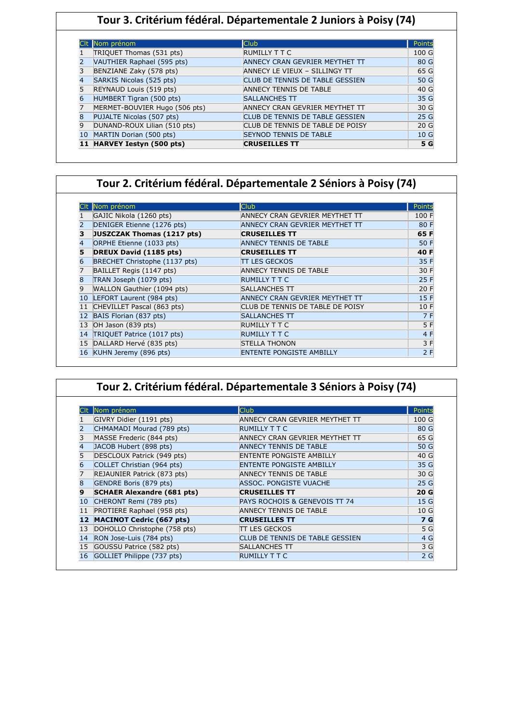# **Tour 3. Critérium fédéral. Départementale 2 Juniors à Poisy (74)**

|    | Nom prénom                    | <b>Club</b>                      | Points          |
|----|-------------------------------|----------------------------------|-----------------|
|    | TRIQUET Thomas (531 pts)      | <b>RUMILLY T T C</b>             | 100 G           |
|    | VAUTHIER Raphael (595 pts)    | ANNECY CRAN GEVRIER MEYTHET TT   | 80 G            |
|    | BENZIANE Zaky (578 pts)       | ANNECY LE VIEUX - SILLINGY TT    | 65 G            |
|    | SARKIS Nicolas (525 pts)      | CLUB DE TENNIS DE TABLE GESSIEN  | 50 G            |
|    | REYNAUD Louis (519 pts)       | ANNECY TENNIS DE TABLE           | 40 G            |
| 6  | HUMBERT Tigran (500 pts)      | <b>SALLANCHES TT</b>             | 35 G            |
|    | MERMET-BOUVIER Hugo (506 pts) | ANNECY CRAN GEVRIER MEYTHET TT   | 30 G            |
| R  | PUJALTE Nicolas (507 pts)     | CLUB DE TENNIS DE TABLE GESSIEN  | 25 G            |
|    | DUNAND-ROUX Lilian (510 pts)  | CLUB DE TENNIS DE TABLE DE POISY | 20 <sub>G</sub> |
| 10 | MARTIN Dorian (500 pts)       | <b>SEYNOD TENNIS DE TABLE</b>    | 10G             |
|    | 11 HARVEY Iestyn (500 pts)    | <b>CRUSEILLES TT</b>             | 5 G             |

#### **Tour 2. Critérium fédéral. Départementale 2 Séniors à Poisy (74)**

|    | Nom prénom                    | Club                             | Points |
|----|-------------------------------|----------------------------------|--------|
|    | GAJIC Nikola (1260 pts)       | ANNECY CRAN GEVRIER MEYTHET TT   | 100 F  |
|    | DENIGER Etienne (1276 pts)    | ANNECY CRAN GEVRIER MEYTHET TT   | 80 F   |
|    | JUSZCZAK Thomas (1217 pts)    | <b>CRUSEILLES TT</b>             | 65 F   |
|    | ORPHE Etienne (1033 pts)      | <b>ANNECY TENNIS DE TABLE</b>    | 50 F   |
| 5  | DREUX David (1185 pts)        | <b>CRUSEILLES TT</b>             | 40 F   |
| 6  | BRECHET Christophe (1137 pts) | <b>TT LES GECKOS</b>             | 35 F   |
|    | BAILLET Regis (1147 pts)      | ANNECY TENNIS DE TABLE           | 30 F   |
| 8  | TRAN Joseph (1079 pts)        | <b>RUMILLY T T C</b>             | 25 F   |
| 9  | WALLON Gauthier (1094 pts)    | SALLANCHES TT                    | 20 F   |
| 10 | LEFORT Laurent (984 pts)      | ANNECY CRAN GEVRIER MEYTHET TT   | 15 F   |
|    | CHEVILLET Pascal (863 pts)    | CLUB DE TENNIS DE TABLE DE POISY | 10 F   |
|    | BAIS Florian (837 pts)        | <b>SALLANCHES TT</b>             | 7 F    |
|    | OH Jason (839 pts)            | RUMILLY T T C                    | 5 F    |
| 14 | TRIQUET Patrice (1017 pts)    | <b>RUMILLY T T C</b>             | 4 F    |
|    | DALLARD Hervé (835 pts)       | <b>STELLA THONON</b>             | 3 F    |
| 16 | KUHN Jeremy (896 pts)         | <b>ENTENTE PONGISTE AMBILLY</b>  | 2F     |

|    |                                   | Tour 2. Critérium fédéral. Départementale 3 Séniors à Poisy (74) |               |
|----|-----------------------------------|------------------------------------------------------------------|---------------|
|    | Nom prénom                        | <b>Club</b>                                                      | <b>Points</b> |
|    | GIVRY Didier (1191 pts)           | ANNECY CRAN GEVRIER MEYTHET TT                                   | 100 G         |
|    | CHMAMADI Mourad (789 pts)         | <b>RUMILLY T T C</b>                                             | 80 G          |
|    | MASSE Frederic (844 pts)          | ANNECY CRAN GEVRIER MEYTHET TT                                   | 65 G          |
|    | JACOB Hubert (898 pts)            | <b>ANNECY TENNIS DE TABLE</b>                                    | 50 G          |
|    | DESCLOUX Patrick (949 pts)        | <b>ENTENTE PONGISTE AMBILLY</b>                                  | 40 G          |
|    | COLLET Christian (964 pts)        | <b>ENTENTE PONGISTE AMBILLY</b>                                  | 35 G          |
|    | REJAUNIER Patrick (873 pts)       | <b>ANNECY TENNIS DE TABLE</b>                                    | 30 G          |
|    | GENDRE Boris (879 pts)            | ASSOC. PONGISTE VUACHE                                           | 25 G          |
|    | <b>SCHAER Alexandre (681 pts)</b> | <b>CRUSEILLES TT</b>                                             | 20 G          |
| 10 | CHERONT Remi (789 pts)            | PAYS ROCHOIS & GENEVOIS TT 74                                    | 15 G          |
|    | PROTIERE Raphael (958 pts)        | <b>ANNECY TENNIS DE TABLE</b>                                    | 10G           |
| 12 | <b>MACINOT Cedric (667 pts)</b>   | <b>CRUSEILLES TT</b>                                             | 7 G           |
| 13 | DOHOLLO Christophe (758 pts)      | TT LES GECKOS                                                    | 5 G           |
| 14 | RON Jose-Luis (784 pts)           | CLUB DE TENNIS DE TABLE GESSIEN                                  | 4 G           |
| 15 | GOUSSU Patrice (582 pts)          | <b>SALLANCHES TT</b>                                             | 3 G           |
| 16 | GOLLIET Philippe (737 pts)        | <b>RUMILLY T T C</b>                                             | 2G            |